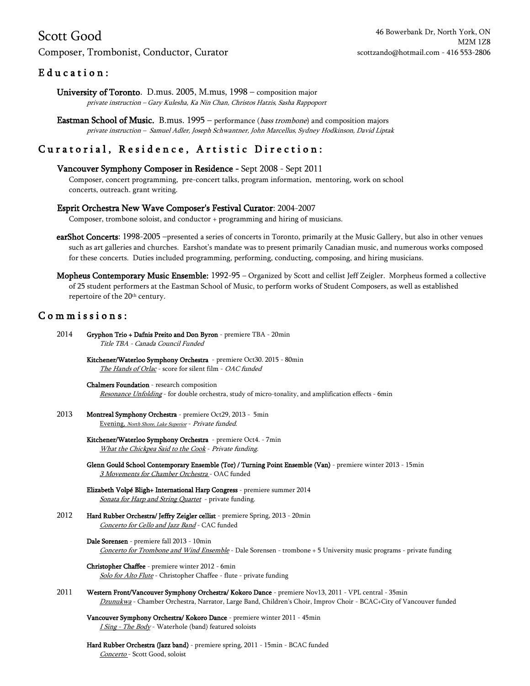# Scott Good

### Composer, Trombonist, Conductor, Curator

## E ducation:

University of Toronto. D.mus. 2005, M.mus, 1998 – composition major private instruction – Gary Kulesha, Ka Nin Chan, Christos Hatzis, Sasha Rappoport

Eastman School of Music. B.mus. 1995 – performance (bass trombone) and composition majors private instruction – Samuel Adler, Joseph Schwantner, John Marcellus, Sydney Hodkinson, David Liptak

## Curatorial, Residence, Artistic Direction:

#### Vancouver Symphony Composer in Residence - Sept 2008 - Sept 2011

Composer, concert programming, pre-concert talks, program information, mentoring, work on school concerts, outreach. grant writing.

#### Esprit Orchestra New Wave Composer's Festival Curator: 2004-2007

Composer, trombone soloist, and conductor + programming and hiring of musicians.

- earShot Concerts: 1998-2005 –presented a series of concerts in Toronto, primarily at the Music Gallery, but also in other venues such as art galleries and churches. Earshot's mandate was to present primarily Canadian music, and numerous works composed for these concerts. Duties included programming, performing, conducting, composing, and hiring musicians.
- Mopheus Contemporary Music Ensemble: 1992-95 Organized by Scott and cellist Jeff Zeigler. Morpheus formed a collective of 25 student performers at the Eastman School of Music, to perform works of Student Composers, as well as established repertoire of the 20<sup>th</sup> century.

### Commissions:

| 2014 | Gryphon Trio + Dafnis Preito and Don Byron - premiere TBA - 20min<br>Title TBA - Canada Council Funded                                                                                                                      |
|------|-----------------------------------------------------------------------------------------------------------------------------------------------------------------------------------------------------------------------------|
|      | Kitchener/Waterloo Symphony Orchestra - premiere Oct30. 2015 - 80min<br>The Hands of Orlac - score for silent film - OAC funded                                                                                             |
|      | Chalmers Foundation - research composition<br>Resonance Unfolding - for double orchestra, study of micro-tonality, and amplification effects - 6min                                                                         |
| 2013 | Montreal Symphony Orchestra - premiere Oct29, 2013 - 5min<br>Evening, North Shore, Lake Superior - Private funded.                                                                                                          |
|      | Kitchener/Waterloo Symphony Orchestra - premiere Oct4. - 7min<br>What the Chickpea Said to the Cook - Private funding.                                                                                                      |
|      | Glenn Gould School Contemporary Ensemble (Tor) / Turning Point Ensemble (Van) - premiere winter 2013 - 15min<br>3 Movements for Chamber Orchestra - OAC funded                                                              |
|      | Elizabeth Volpé Bligh+ International Harp Congress - premiere summer 2014<br>Sonata for Harp and String Quartet - private funding.                                                                                          |
| 2012 | Hard Rubber Orchestra/ Jeffry Zeigler cellist - premiere Spring, 2013 - 20min<br>Concerto for Cello and Jazz Band - CAC funded                                                                                              |
|      | Dale Sorensen - premiere fall 2013 - 10min<br>Concerto for Trombone and Wind Ensemble - Dale Sorensen - trombone + 5 University music programs - private funding                                                            |
|      | Christopher Chaffee - premiere winter 2012 - 6min<br>Solo for Alto Flute - Christopher Chaffee - flute - private funding                                                                                                    |
| 2011 | Western Front/Vancouver Symphony Orchestra/ Kokoro Dance - premiere Nov13, 2011 - VPL central - 35min<br>Dzunukwa - Chamber Orchestra, Narrator, Large Band, Children's Choir, Improv Choir - BCAC+City of Vancouver funded |
|      | Vancouver Symphony Orchestra/ Kokoro Dance - premiere winter 2011 - 45min<br>I Sing - The Body - Waterhole (band) featured soloists                                                                                         |
|      | Hard Rubber Orchestra (Jazz band) - premiere spring, 2011 - 15min - BCAC funded<br>Concerto - Scott Good, soloist                                                                                                           |
|      |                                                                                                                                                                                                                             |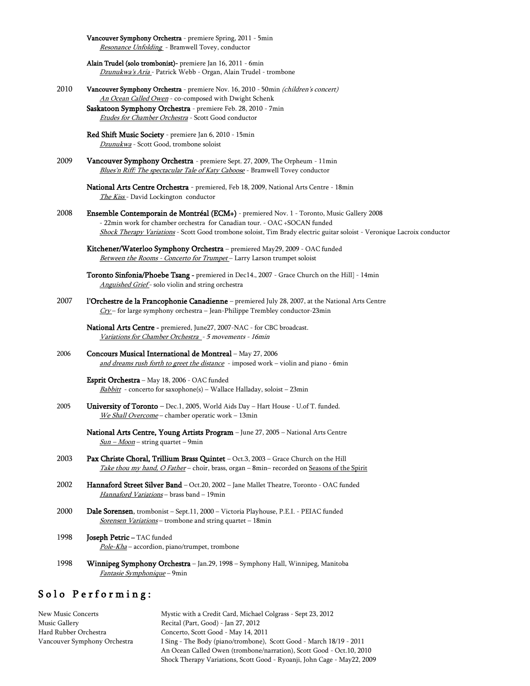|      | Vancouver Symphony Orchestra - premiere Spring, 2011 - 5min<br>Resonance Unfolding - Bramwell Tovey, conductor                                                                                                                                                                                    |
|------|---------------------------------------------------------------------------------------------------------------------------------------------------------------------------------------------------------------------------------------------------------------------------------------------------|
|      | Alain Trudel (solo trombonist)- premiere Jan 16, 2011 - 6min<br>Dzunukwa's Aria - Patrick Webb - Organ, Alain Trudel - trombone                                                                                                                                                                   |
| 2010 | Vancouver Symphony Orchestra - premiere Nov. 16, 2010 - 50min (children's concert)<br>An Ocean Called Owen - co-composed with Dwight Schenk<br>Saskatoon Symphony Orchestra - premiere Feb. 28, 2010 - 7min                                                                                       |
|      | Etudes for Chamber Orchestra - Scott Good conductor                                                                                                                                                                                                                                               |
|      | Red Shift Music Society - premiere Jan 6, 2010 - 15min<br>Dzunukwa - Scott Good, trombone soloist                                                                                                                                                                                                 |
| 2009 | Vancouver Symphony Orchestra - premiere Sept. 27, 2009, The Orpheum - 11min<br>Blues'n Riff: The spectacular Tale of Katy Caboose - Bramwell Tovey conductor                                                                                                                                      |
|      | National Arts Centre Orchestra - premiered, Feb 18, 2009, National Arts Centre - 18min<br>The Kiss - David Lockington conductor                                                                                                                                                                   |
| 2008 | Ensemble Contemporain de Montréal (ECM+) - premiered Nov. 1 - Toronto, Music Gallery 2008<br>- 22min work for chamber orchestra for Canadian tour. - OAC +SOCAN funded<br>Shock Therapy Variations - Scott Good trombone soloist, Tim Brady electric guitar soloist - Veronique Lacroix conductor |
|      | Kitchener/Waterloo Symphony Orchestra - premiered May29, 2009 - OAC funded<br>Between the Rooms - Concerto for Trumpet-Larry Larson trumpet soloist                                                                                                                                               |
|      | Toronto Sinfonia/Phoebe Tsang - premiered in Dec14., 2007 - Grace Church on the Hill] - 14min<br>Anguished Grief- solo violin and string orchestra                                                                                                                                                |
| 2007 | l'Orchestre de la Francophonie Canadienne - premiered July 28, 2007, at the National Arts Centre<br>$Cry$ - for large symphony orchestra - Jean-Philippe Trembley conductor-23min                                                                                                                 |
|      | National Arts Centre - premiered, June27, 2007-NAC - for CBC broadcast.<br>Variations for Chamber Orchestra - 5 movements - 16min                                                                                                                                                                 |
| 2006 | Concours Musical International de Montreal - May 27, 2006<br>and dreams rush forth to greet the distance - imposed work - violin and piano - 6min                                                                                                                                                 |
|      | Esprit Orchestra - May 18, 2006 - OAC funded<br>Babbitt - concerto for saxophone(s) - Wallace Halladay, soloist - 23min                                                                                                                                                                           |
| 2005 | University of Toronto - Dec.1, 2005, World Aids Day - Hart House - U.of T. funded.<br>We Shall Overcome - chamber operatic work - 13min                                                                                                                                                           |
|      | National Arts Centre, Young Artists Program - June 27, 2005 - National Arts Centre<br>$Sun - Moon - string quartet - 9min$                                                                                                                                                                        |
| 2003 | Pax Christe Choral, Trillium Brass Quintet - Oct.3, 2003 - Grace Church on the Hill<br>Take thou my hand, O Father – choir, brass, organ – 8min– recorded on Seasons of the Spirit                                                                                                                |
| 2002 | <b>Hannaford Street Silver Band</b> – Oct.20, 2002 – Jane Mallet Theatre, Toronto - OAC funded<br>Hannaford Variations - brass band - 19min                                                                                                                                                       |
| 2000 | Dale Sorensen, trombonist - Sept.11, 2000 - Victoria Playhouse, P.E.I. - PEIAC funded<br>Sorensen Variations - trombone and string quartet - 18min                                                                                                                                                |
| 1998 | Joseph Petric-TAC funded<br>Pole-Kha - accordion, piano/trumpet, trombone                                                                                                                                                                                                                         |
| 1998 | Winnipeg Symphony Orchestra - Jan.29, 1998 - Symphony Hall, Winnipeg, Manitoba<br>Fantasie Symphonique - 9min                                                                                                                                                                                     |

# Solo Performing:

New Music Concerts Mystic with a Credit Card, Michael Colgrass - Sept 23, 2012 Music Gallery Recital (Part, Good) - Jan 27, 2012 Hard Rubber Orchestra Concerto, Scott Good - May 14, 2011 I Sing - The Body (piano/trombone), Scott Good - March 18/19 - 2011 An Ocean Called Owen (trombone/narration), Scott Good - Oct.10, 2010 Shock Therapy Variations, Scott Good - Ryoanji, John Cage - May22, 2009